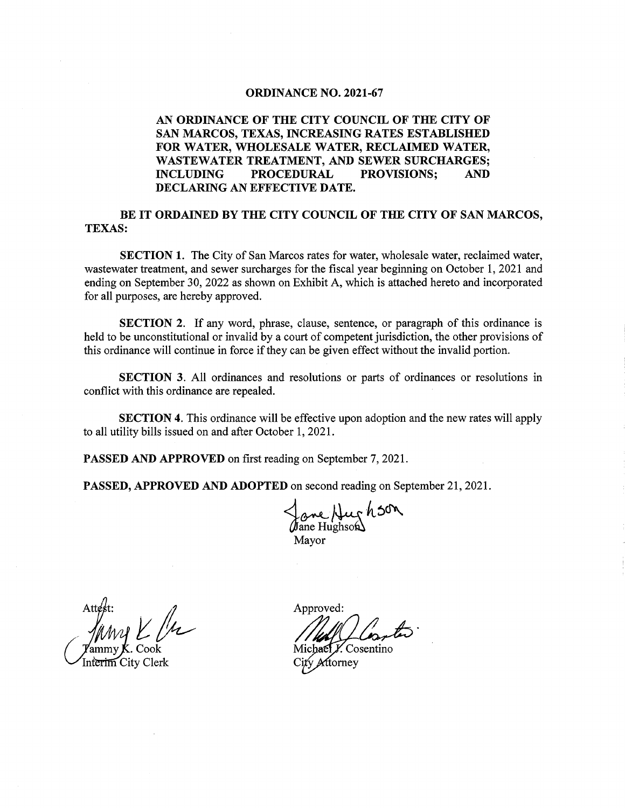#### ORDINANCE NO. 2021-67

#### AN ORDINANCE OF THE CITY COUNCIL OF THE CITY OF SAN MARCOS, TEXAS, INCREASING RATES ESTABLISHED FOR WATER, WHOLESALE WATER, RECLAIMED WATER, WASTEWATER TREATMENT, AND SEWER SURCHARGES; INCLUDING PROCEDURAL PROVISIONS; AND DECLARING AN EFFECTIVE DATE.

BE IT ORDAINED BY THE CITY COUNCIL OF THE CITY OF SAN MARCOS, TEXAS:

SECTION 1. The City of San Marcos rates for water, wholesale water, reclaimed water, wastewater treatment, and sewer surcharges for the fiscal year beginning on October 1, 2021 and ending on September 30, 2022 as shown on Exhibit A, which is attached hereto and incorporated for all purposes, are hereby approved.

SECTION 2. If any word, phrase, clause, sentence, or paragraph of this ordinance is held to be unconstitutional or invalid by a court of competent jurisdiction, the other provisions of this ordinance will continue in force if they can be given effect without the invalid portion.

SECTION 3. All ordinances and resolutions or parts of ordinances or resolutions in conflict with this ordinance are repealed.

SECTION 4. This ordinance will be effective upon adoption and the new rates will apply to all utility bills issued on and after October 1, 2021.

PASSED AND APPROVED on first reading on September 7, 2021.

PASSED, APPROVED AND ADOPTED on second reading on September 21, 2021.

Jane Hughson Mayor

 $Att$ st: my  $\bm{K}$ . Cool rim City Clerk

Approved:

C Michael Y. Cosentino ftorney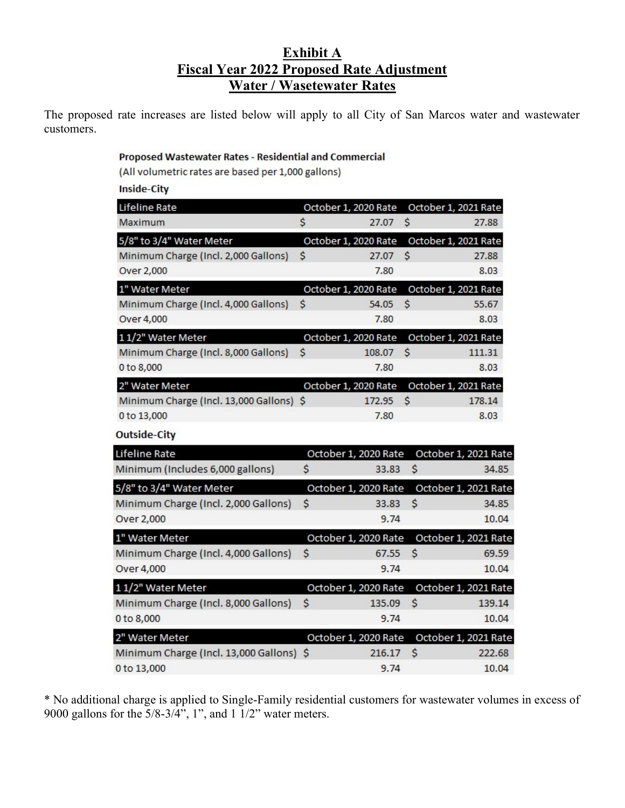## Exhibit A Fiscal Year 2022 Proposed Rate Adjustment Water / Wasetewater Rates

The proposed rate increases are listed below will apply to all City of San Marcos water and wastewater customers.

### Proposed Wastewater Rates - Residential and Commercial

(All volumetric rates are based per 1,000 gallons)

**Inside-City** 

| Lifeline Rate                            | October 1, 2020 Rate |    | October 1, 2021 Rate |
|------------------------------------------|----------------------|----|----------------------|
| Maximum                                  | \$<br>27.07          | \$ | 27.88                |
| 5/8" to 3/4" Water Meter                 | October 1, 2020 Rate |    | October 1, 2021 Rate |
| Minimum Charge (Incl. 2,000 Gallons)     | \$<br>27.07          | \$ | 27.88                |
| Over 2,000                               | 7.80                 |    | 8.03                 |
| 1" Water Meter                           | October 1, 2020 Rate |    | October 1, 2021 Rate |
| Minimum Charge (Incl. 4,000 Gallons)     | \$<br>54.05          | \$ | 55.67                |
| Over 4,000                               | 7.80                 |    | 8.03                 |
| 11/2" Water Meter                        | October 1, 2020 Rate |    | October 1, 2021 Rate |
| Minimum Charge (Incl. 8,000 Gallons)     | \$<br>108.07         | \$ | 111.31               |
| 0 to 8,000                               | 7.80                 |    | 8.03                 |
| 2" Water Meter                           | October 1, 2020 Rate |    | October 1, 2021 Rate |
| Minimum Charge (Incl. 13,000 Gallons) \$ | 172.95               | Ś  | 178.14               |
| 0 to 13,000                              | 7.80                 |    | 8.03                 |
| <b>Outside-City</b>                      |                      |    |                      |
| Lifeline Rate                            | October 1, 2020 Rate |    | October 1, 2021 Rate |
| Minimum (Includes 6,000 gallons)         | \$<br>33.83          | \$ | 34.85                |
| 5/8" to 3/4" Water Meter                 | October 1, 2020 Rate |    | October 1, 2021 Rate |
| Minimum Charge (Incl. 2,000 Gallons)     | \$<br>33.83          | \$ | 34.85                |
| Over 2,000                               | 9.74                 |    | 10.04                |
| 1" Water Meter                           | October 1, 2020 Rate |    | October 1, 2021 Rate |
| Minimum Charge (Incl. 4,000 Gallons)     | \$<br>67.55          | \$ | 69.59                |
| Over 4,000                               | 9.74                 |    | 10.04                |
| 11/2" Water Meter                        | October 1, 2020 Rate |    | October 1, 2021 Rate |
| Minimum Charge (Incl. 8,000 Gallons)     | \$<br>135.09         | \$ | 139.14               |
| 0 to 8,000                               | 9.74                 |    | 10.04                |
| 2" Water Meter                           | October 1, 2020 Rate |    | October 1, 2021 Rate |
| Minimum Charge (Incl. 13,000 Gallons) \$ | 216.17               | \$ | 222.68               |
| 0 to 13,000                              | 9.74                 |    | 10.04                |

\* No additional charge is applied to Single-Family residential customers for wastewater volumes in excess of 9000 gallons for the 5/8-3/4", 1", and 1 1/2" water meters.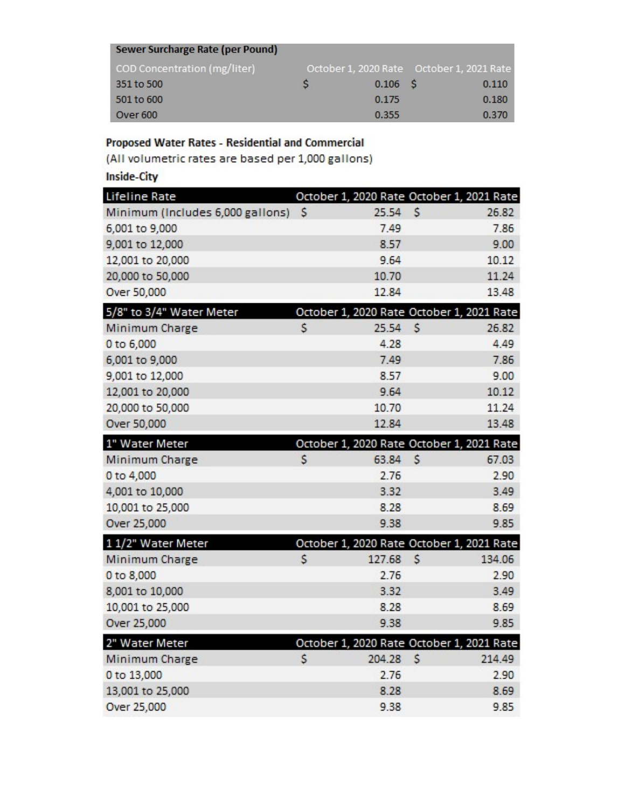| Sewer Surcharge Rate (per Pound) |   |                                           |       |
|----------------------------------|---|-------------------------------------------|-------|
| COD Concentration (mg/liter)     |   | October 1, 2020 Rate October 1, 2021 Rate |       |
| 351 to 500                       | S | $0.106$ \$                                | 0.110 |
| 501 to 600                       |   | 0.175                                     | 0.180 |
| Over 600                         |   | 0.355                                     | 0.370 |

## Proposed Water Rates - Residential and Commercial

(All volumetric rates are based per 1,000 gallons)

**Inside-City** 

| Lifeline Rate                    |              | October 1, 2020 Rate October 1, 2021 Rate |              |        |
|----------------------------------|--------------|-------------------------------------------|--------------|--------|
| Minimum (Includes 6,000 gallons) | <sub>S</sub> | 25.54                                     | \$           | 26.82  |
| 6,001 to 9,000                   |              | 7.49                                      |              | 7.86   |
| 9,001 to 12,000                  |              | 8.57                                      |              | 9.00   |
| 12,001 to 20,000                 |              | 9.64                                      |              | 10.12  |
| 20,000 to 50,000                 |              | 10.70                                     |              | 11.24  |
| Over 50,000                      |              | 12.84                                     |              | 13.48  |
| 5/8" to 3/4" Water Meter         |              | October 1, 2020 Rate October 1, 2021 Rate |              |        |
| Minimum Charge                   | $\mathsf{S}$ | 25.54                                     | $\mathsf{S}$ | 26.82  |
| 0 to 6,000                       |              | 4.28                                      |              | 4.49   |
| 6,001 to 9,000                   |              | 7.49                                      |              | 7.86   |
| 9,001 to 12,000                  |              | 8.57                                      |              | 9.00   |
| 12,001 to 20,000                 |              | 9.64                                      |              | 10.12  |
| 20,000 to 50,000                 |              | 10.70                                     |              | 11.24  |
| Over 50,000                      |              | 12.84                                     |              | 13.48  |
| 1" Water Meter                   |              | October 1, 2020 Rate October 1, 2021 Rate |              |        |
| Minimum Charge                   | \$           | 63.84                                     | $\mathsf{S}$ | 67.03  |
| 0 to 4,000                       |              | 2.76                                      |              | 2.90   |
| 4,001 to 10,000                  |              | 3.32                                      |              | 3.49   |
| 10,001 to 25,000                 |              | 8.28                                      |              | 8.69   |
| Over 25,000                      |              | 9.38                                      |              | 9.85   |
| 11/2" Water Meter                |              | October 1, 2020 Rate October 1, 2021 Rate |              |        |
| Minimum Charge                   | \$           | 127.68                                    | \$           | 134.06 |
| 0 to 8,000                       |              | 2.76                                      |              | 2.90   |
| 8,001 to 10,000                  |              | 3.32                                      |              | 3.49   |
| 10,001 to 25,000                 |              | 8.28                                      |              | 8.69   |
| Over 25,000                      |              | 9.38                                      |              | 9.85   |
| 2" Water Meter                   |              | October 1, 2020 Rate October 1, 2021 Rate |              |        |
| Minimum Charge                   | \$           | 204.28                                    | \$           | 214.49 |
| 0 to 13,000                      |              | 2.76                                      |              | 2.90   |
| 13,001 to 25,000                 |              | 8.28                                      |              | 8.69   |
| Over 25,000                      |              | 9.38                                      |              | 9.85   |